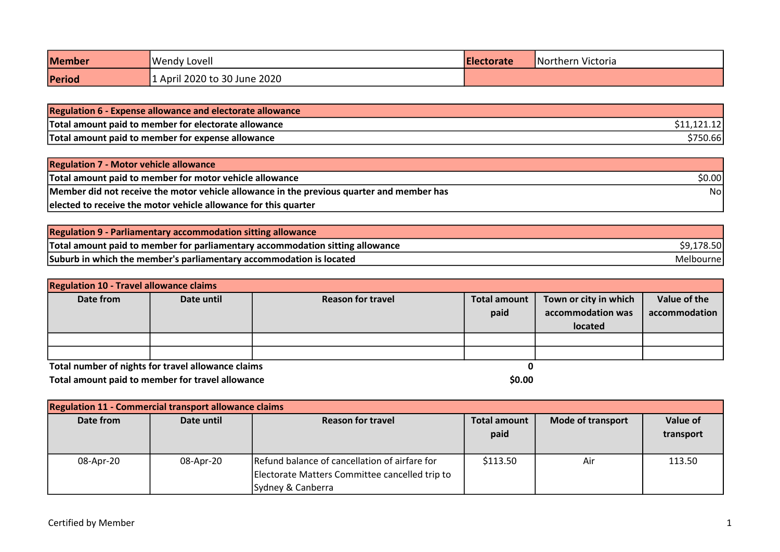| <b>Member</b> | <b>Wendy Lovell</b>          | Electorate | Northern Victoria |
|---------------|------------------------------|------------|-------------------|
| Period        | 1 April 2020 to 30 June 2020 |            |                   |

| Regulation 6 - Expense allowance and electorate allowance |          |
|-----------------------------------------------------------|----------|
| Total amount paid to member for electorate allowance      |          |
| Total amount paid to member for expense allowance         | \$750.66 |

| <b>Regulation 7 - Motor vehicle allowance</b>                                             |        |
|-------------------------------------------------------------------------------------------|--------|
| Total amount paid to member for motor vehicle allowance                                   | \$0.00 |
| Member did not receive the motor vehicle allowance in the previous quarter and member has | Nol    |
| elected to receive the motor vehicle allowance for this quarter                           |        |

| <b>Regulation 9 - Parliamentary accommodation sitting allowance</b>           |            |
|-------------------------------------------------------------------------------|------------|
| Total amount paid to member for parliamentary accommodation sitting allowance | \$9,178.50 |
| Suburb in which the member's parliamentary accommodation is located           | Melbournel |

| <b>Regulation 10 - Travel allowance claims</b>     |            |                          |                             |                                                       |                               |  |
|----------------------------------------------------|------------|--------------------------|-----------------------------|-------------------------------------------------------|-------------------------------|--|
| Date from                                          | Date until | <b>Reason for travel</b> | <b>Total amount</b><br>paid | Town or city in which<br>accommodation was<br>located | Value of the<br>accommodation |  |
|                                                    |            |                          |                             |                                                       |                               |  |
| Total number of nights for travel allowance claims |            |                          |                             |                                                       |                               |  |

Total amount paid to member for travel allowance  $\sim$  50.00

| <b>Regulation 11 - Commercial transport allowance claims</b> |            |                                                |                     |                          |           |  |
|--------------------------------------------------------------|------------|------------------------------------------------|---------------------|--------------------------|-----------|--|
| Date from                                                    | Date until | <b>Reason for travel</b>                       | <b>Total amount</b> | <b>Mode of transport</b> |           |  |
|                                                              |            |                                                | paid                |                          | transport |  |
|                                                              |            |                                                |                     |                          |           |  |
| 08-Apr-20                                                    | 08-Apr-20  | Refund balance of cancellation of airfare for  | \$113.50            | Air                      | 113.50    |  |
|                                                              |            | Electorate Matters Committee cancelled trip to |                     |                          |           |  |
|                                                              |            | Sydney & Canberra                              |                     |                          |           |  |